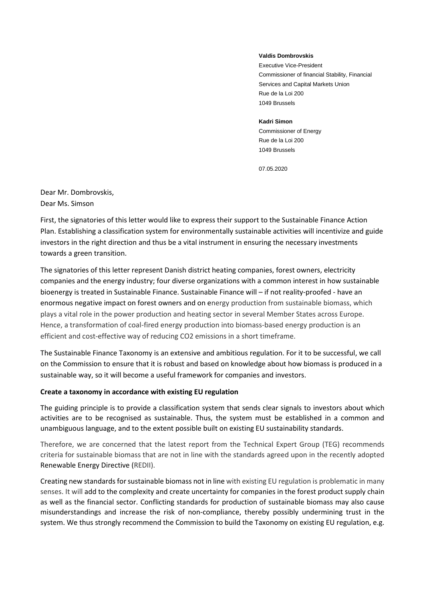## **Valdis Dombrovskis**

Executive Vice-President Commissioner of financial Stability, Financial Services and Capital Markets Union Rue de la Loi 200 1049 Brussels

## **Kadri Simon**

Commissioner of Energy Rue de la Loi 200 1049 Brussels

07.05.2020

Dear Mr. Dombrovskis, Dear Ms. Simson

First, the signatories of this letter would like to express their support to the Sustainable Finance Action Plan. Establishing a classification system for environmentally sustainable activities will incentivize and guide investors in the right direction and thus be a vital instrument in ensuring the necessary investments towards a green transition.

The signatories of this letter represent Danish district heating companies, forest owners, electricity companies and the energy industry; four diverse organizations with a common interest in how sustainable bioenergy is treated in Sustainable Finance. Sustainable Finance will – if not reality-proofed - have an enormous negative impact on forest owners and on energy production from sustainable biomass, which plays a vital role in the power production and heating sector in several Member States across Europe. Hence, a transformation of coal-fired energy production into biomass-based energy production is an efficient and cost-effective way of reducing CO2 emissions in a short timeframe.

The Sustainable Finance Taxonomy is an extensive and ambitious regulation. For it to be successful, we call on the Commission to ensure that it is robust and based on knowledge about how biomass is produced in a sustainable way, so it will become a useful framework for companies and investors.

## **Create a taxonomy in accordance with existing EU regulation**

The guiding principle is to provide a classification system that sends clear signals to investors about which activities are to be recognised as sustainable. Thus, the system must be established in a common and unambiguous language, and to the extent possible built on existing EU sustainability standards.

Therefore, we are concerned that the latest report from the Technical Expert Group (TEG) recommends criteria for sustainable biomass that are not in line with the standards agreed upon in the recently adopted Renewable Energy Directive (REDII).

Creating new standards for sustainable biomass not in line with existing EU regulation is problematic in many senses. It will add to the complexity and create uncertainty for companies in the forest product supply chain as well as the financial sector. Conflicting standards for production of sustainable biomass may also cause misunderstandings and increase the risk of non-compliance, thereby possibly undermining trust in the system. We thus strongly recommend the Commission to build the Taxonomy on existing EU regulation, e.g.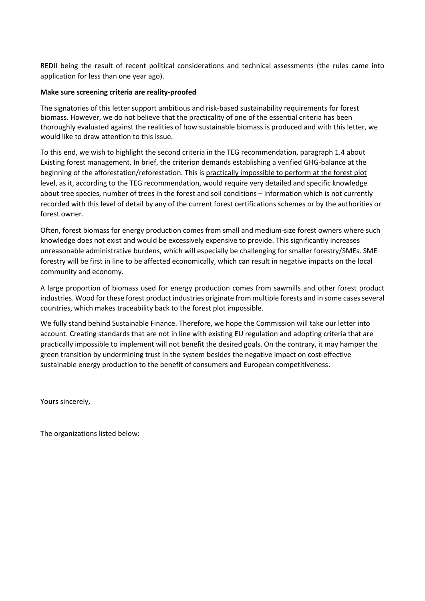REDII being the result of recent political considerations and technical assessments (the rules came into application for less than one year ago).

## **Make sure screening criteria are reality-proofed**

The signatories of this letter support ambitious and risk-based sustainability requirements for forest biomass. However, we do not believe that the practicality of one of the essential criteria has been thoroughly evaluated against the realities of how sustainable biomass is produced and with this letter, we would like to draw attention to this issue.

To this end, we wish to highlight the second criteria in the TEG recommendation, paragraph 1.4 about Existing forest management. In brief, the criterion demands establishing a verified GHG-balance at the beginning of the afforestation/reforestation. This is practically impossible to perform at the forest plot level, as it, according to the TEG recommendation, would require very detailed and specific knowledge about tree species, number of trees in the forest and soil conditions – information which is not currently recorded with this level of detail by any of the current forest certifications schemes or by the authorities or forest owner.

Often, forest biomass for energy production comes from small and medium-size forest owners where such knowledge does not exist and would be excessively expensive to provide. This significantly increases unreasonable administrative burdens, which will especially be challenging for smaller forestry/SMEs. SME forestry will be first in line to be affected economically, which can result in negative impacts on the local community and economy.

A large proportion of biomass used for energy production comes from sawmills and other forest product industries. Wood for these forest product industries originate from multiple forests and in some cases several countries, which makes traceability back to the forest plot impossible.

We fully stand behind Sustainable Finance. Therefore, we hope the Commission will take our letter into account. Creating standards that are not in line with existing EU regulation and adopting criteria that are practically impossible to implement will not benefit the desired goals. On the contrary, it may hamper the green transition by undermining trust in the system besides the negative impact on cost-effective sustainable energy production to the benefit of consumers and European competitiveness.

Yours sincerely,

The organizations listed below: